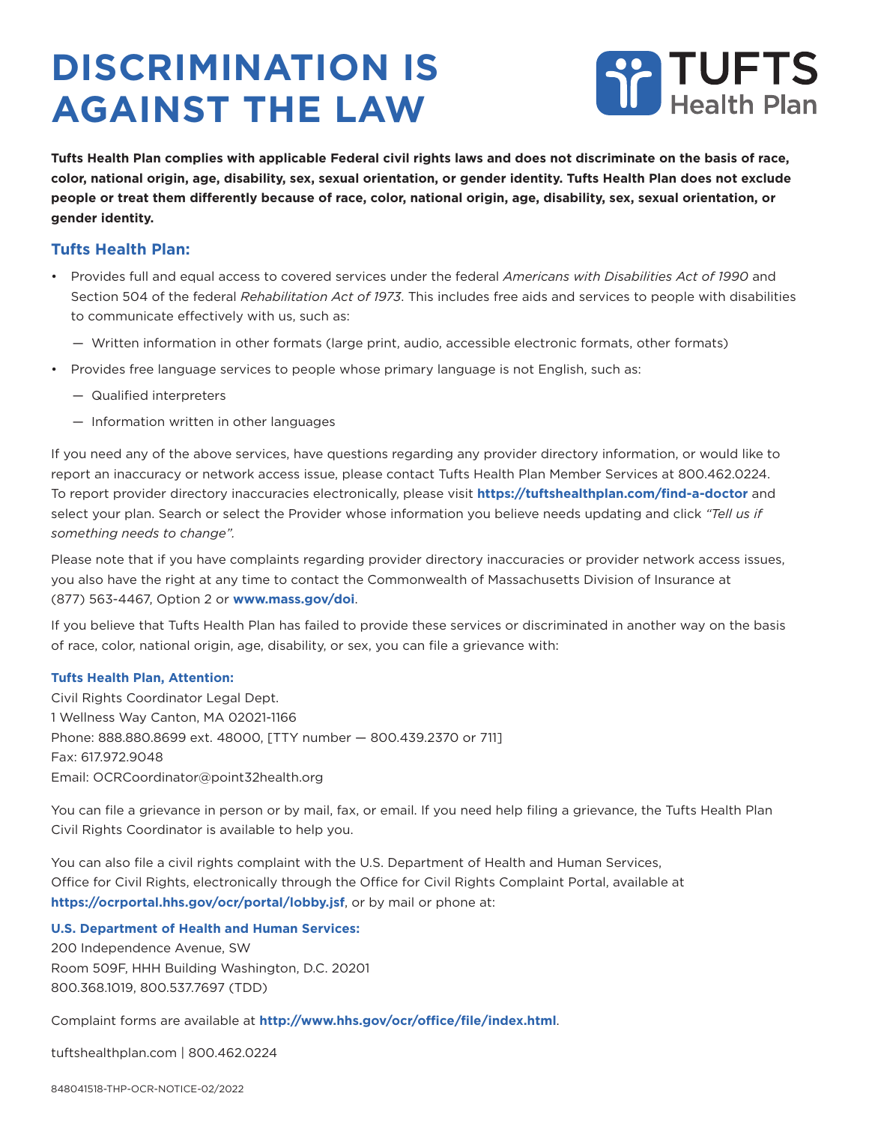## **DISCRIMINATION IS AGAINST THE LAW**



**Tufts Health Plan complies with applicable Federal civil rights laws and does not discriminate on the basis of race, color, national origin, age, disability, sex, sexual orientation, or gender identity. Tufts Health Plan does not exclude people or treat them differently because of race, color, national origin, age, disability, sex, sexual orientation, or gender identity.**

## **Tufts Health Plan:**

- Provides full and equal access to covered services under the federal *Americans with Disabilities Act of 1990* and Section 504 of the federal *Rehabilitation Act of 1973*. This includes free aids and services to people with disabilities to communicate effectively with us, such as:
	- Written information in other formats (large print, audio, accessible electronic formats, other formats)
- Provides free language services to people whose primary language is not English, such as:
	- Qualified interpreters
	- Information written in other languages

If you need any of the above services, have questions regarding any provider directory information, or would like to report an inaccuracy or network access issue, please contact Tufts Health Plan Member Services at 800.462.0224. To report provider directory inaccuracies electronically, please visit **https://tuftshealthplan.com/find-a-doctor** and select your plan. Search or select the Provider whose information you believe needs updating and click *"Tell us if something needs to change".*

Please note that if you have complaints regarding provider directory inaccuracies or provider network access issues, you also have the right at any time to contact the Commonwealth of Massachusetts Division of Insurance at (877) 563-4467, Option 2 or **www.mass.gov/doi**.

If you believe that Tufts Health Plan has failed to provide these services or discriminated in another way on the basis of race, color, national origin, age, disability, or sex, you can file a grievance with:

## **Tufts Health Plan, Attention:**

Civil Rights Coordinator Legal Dept. 1 Wellness Way Canton, MA 02021-1166 Phone: 888.880.8699 ext. 48000, [TTY number — 800.439.2370 or 711] Fax: 617.972.9048 Email: OCRCoordinator@point32health.org

You can file a grievance in person or by mail, fax, or email. If you need help filing a grievance, the Tufts Health Plan Civil Rights Coordinator is available to help you.

You can also file a civil rights complaint with the U.S. Department of Health and Human Services, Office for Civil Rights, electronically through the Office for Civil Rights Complaint Portal, available at **https://ocrportal.hhs.gov/ocr/portal/lobby.jsf**, or by mail or phone at:

## **U.S. Department of Health and Human Services:**

200 Independence Avenue, SW Room 509F, HHH Building Washington, D.C. 20201 800.368.1019, 800.537.7697 (TDD)

Complaint forms are available at **http://www.hhs.gov/ocr/office/file/index.html**.

tuftshealthplan.com | 800.462.0224